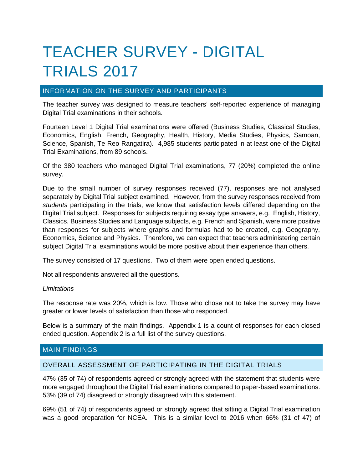# TEACHER SURVEY - DIGITAL TRIALS 2017

## INFORMATION ON THE SURVEY AND PARTICIPANTS

The teacher survey was designed to measure teachers' self-reported experience of managing Digital Trial examinations in their schools.

Fourteen Level 1 Digital Trial examinations were offered (Business Studies, Classical Studies, Economics, English, French, Geography, Health, History, Media Studies, Physics, Samoan, Science, Spanish, Te Reo Rangatira). 4,985 students participated in at least one of the Digital Trial Examinations, from 89 schools.

Of the 380 teachers who managed Digital Trial examinations, 77 (20%) completed the online survey.

Due to the small number of survey responses received (77), responses are not analysed separately by Digital Trial subject examined. However, from the survey responses received from *students* participating in the trials, we know that satisfaction levels differed depending on the Digital Trial subject. Responses for subjects requiring essay type answers, e.g. English, History, Classics, Business Studies and Language subjects, e.g. French and Spanish, were more positive than responses for subjects where graphs and formulas had to be created, e.g. Geography, Economics, Science and Physics. Therefore, we can expect that teachers administering certain subject Digital Trial examinations would be more positive about their experience than others.

The survey consisted of 17 questions. Two of them were open ended questions.

Not all respondents answered all the questions.

## *Limitations*

The response rate was 20%, which is low. Those who chose not to take the survey may have greater or lower levels of satisfaction than those who responded.

Below is a summary of the main findings. Appendix 1 is a count of responses for each closed ended question. Appendix 2 is a full list of the survey questions.

## MAIN FINDINGS

## OVERALL ASSESSMENT OF PARTICIPATING IN THE DIGITAL TRIALS

47% (35 of 74) of respondents agreed or strongly agreed with the statement that students were more engaged throughout the Digital Trial examinations compared to paper-based examinations. 53% (39 of 74) disagreed or strongly disagreed with this statement.

69% (51 of 74) of respondents agreed or strongly agreed that sitting a Digital Trial examination was a good preparation for NCEA. This is a similar level to 2016 when 66% (31 of 47) of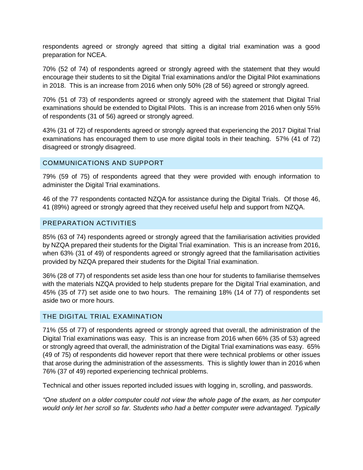respondents agreed or strongly agreed that sitting a digital trial examination was a good preparation for NCEA.

70% (52 of 74) of respondents agreed or strongly agreed with the statement that they would encourage their students to sit the Digital Trial examinations and/or the Digital Pilot examinations in 2018. This is an increase from 2016 when only 50% (28 of 56) agreed or strongly agreed.

70% (51 of 73) of respondents agreed or strongly agreed with the statement that Digital Trial examinations should be extended to Digital Pilots. This is an increase from 2016 when only 55% of respondents (31 of 56) agreed or strongly agreed.

43% (31 of 72) of respondents agreed or strongly agreed that experiencing the 2017 Digital Trial examinations has encouraged them to use more digital tools in their teaching. 57% (41 of 72) disagreed or strongly disagreed.

## COMMUNICATIONS AND SUPPORT

79% (59 of 75) of respondents agreed that they were provided with enough information to administer the Digital Trial examinations.

46 of the 77 respondents contacted NZQA for assistance during the Digital Trials. Of those 46, 41 (89%) agreed or strongly agreed that they received useful help and support from NZQA.

## PREPARATION ACTIVITIES

85% (63 of 74) respondents agreed or strongly agreed that the familiarisation activities provided by NZQA prepared their students for the Digital Trial examination. This is an increase from 2016, when 63% (31 of 49) of respondents agreed or strongly agreed that the familiarisation activities provided by NZQA prepared their students for the Digital Trial examination.

36% (28 of 77) of respondents set aside less than one hour for students to familiarise themselves with the materials NZQA provided to help students prepare for the Digital Trial examination, and 45% (35 of 77) set aside one to two hours. The remaining 18% (14 of 77) of respondents set aside two or more hours.

## THE DIGITAL TRIAL EXAMINATION

71% (55 of 77) of respondents agreed or strongly agreed that overall, the administration of the Digital Trial examinations was easy. This is an increase from 2016 when 66% (35 of 53) agreed or strongly agreed that overall, the administration of the Digital Trial examinations was easy. 65% (49 of 75) of respondents did however report that there were technical problems or other issues that arose during the administration of the assessments. This is slightly lower than in 2016 when 76% (37 of 49) reported experiencing technical problems.

Technical and other issues reported included issues with logging in, scrolling, and passwords.

*"One student on a older computer could not view the whole page of the exam, as her computer would only let her scroll so far. Students who had a better computer were advantaged. Typically*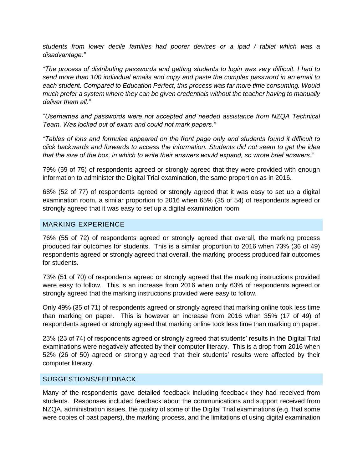*students from lower decile families had poorer devices or a ipad / tablet which was a disadvantage."*

*"The process of distributing passwords and getting students to login was very difficult. I had to send more than 100 individual emails and copy and paste the complex password in an email to each student. Compared to Education Perfect, this process was far more time consuming. Would much prefer a system where they can be given credentials without the teacher having to manually deliver them all."*

*"Usernames and passwords were not accepted and needed assistance from NZQA Technical Team. Was locked out of exam and could not mark papers."*

*"Tables of ions and formulae appeared on the front page only and students found it difficult to click backwards and forwards to access the information. Students did not seem to get the idea that the size of the box, in which to write their answers would expand, so wrote brief answers."*

79% (59 of 75) of respondents agreed or strongly agreed that they were provided with enough information to administer the Digital Trial examination, the same proportion as in 2016.

68% (52 of 77) of respondents agreed or strongly agreed that it was easy to set up a digital examination room, a similar proportion to 2016 when 65% (35 of 54) of respondents agreed or strongly agreed that it was easy to set up a digital examination room.

## MARKING EXPERIENCE

76% (55 of 72) of respondents agreed or strongly agreed that overall, the marking process produced fair outcomes for students. This is a similar proportion to 2016 when 73% (36 of 49) respondents agreed or strongly agreed that overall, the marking process produced fair outcomes for students.

73% (51 of 70) of respondents agreed or strongly agreed that the marking instructions provided were easy to follow. This is an increase from 2016 when only 63% of respondents agreed or strongly agreed that the marking instructions provided were easy to follow.

Only 49% (35 of 71) of respondents agreed or strongly agreed that marking online took less time than marking on paper. This is however an increase from 2016 when 35% (17 of 49) of respondents agreed or strongly agreed that marking online took less time than marking on paper.

23% (23 of 74) of respondents agreed or strongly agreed that students' results in the Digital Trial examinations were negatively affected by their computer literacy. This is a drop from 2016 when 52% (26 of 50) agreed or strongly agreed that their students' results were affected by their computer literacy.

## SUGGESTIONS/FEEDBACK

Many of the respondents gave detailed feedback including feedback they had received from students. Responses included feedback about the communications and support received from NZQA, administration issues, the quality of some of the Digital Trial examinations (e.g. that some were copies of past papers), the marking process, and the limitations of using digital examination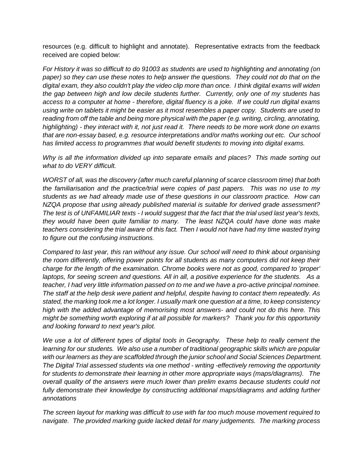resources (e.g. difficult to highlight and annotate). Representative extracts from the feedback received are copied below:

*For History it was so difficult to do 91003 as students are used to highlighting and annotating (on paper) so they can use these notes to help answer the questions. They could not do that on the digital exam, they also couldn't play the video clip more than once. I think digital exams will widen the gap between high and low decile students further. Currently, only one of my students has access to a computer at home - therefore, digital fluency is a joke. If we could run digital exams using write on tablets it might be easier as it most resembles a paper copy. Students are used to reading from off the table and being more physical with the paper (e.g. writing, circling, annotating, highlighting) - they interact with it, not just read it. There needs to be more work done on exams that are non-essay based, e.g. resource interpretations and/or maths working out etc. Our school has limited access to programmes that would benefit students to moving into digital exams.*

*Why is all the information divided up into separate emails and places? This made sorting out what to do VERY difficult.* 

*WORST of all, was the discovery (after much careful planning of scarce classroom time) that both the familiarisation and the practice/trial were copies of past papers. This was no use to my students as we had already made use of these questions in our classroom practice. How can NZQA propose that using already published material is suitable for derived grade assessment? The test is of UNFAMILIAR texts - I would suggest that the fact that the trial used last year's texts, they would have been quite familiar to many. The least NZQA could have done was make teachers considering the trial aware of this fact. Then I would not have had my time wasted trying to figure out the confusing instructions.*

*Compared to last year, this ran without any issue. Our school will need to think about organising the room differently, offering power points for all students as many computers did not keep their charge for the length of the examination. Chrome books were not as good, compared to 'proper' laptops, for seeing screen and questions. All in all, a positive experience for the students. As a teacher, I had very little information passed on to me and we have a pro-active principal nominee. The staff at the help desk were patient and helpful, despite having to contact them repeatedly. As stated, the marking took me a lot longer. I usually mark one question at a time, to keep consistency high with the added advantage of memorising most answers- and could not do this here. This might be something worth exploring if at all possible for markers? Thank you for this opportunity and looking forward to next year's pilot.*

*We use a lot of different types of digital tools in Geography. These help to really cement the*  learning for our students. We also use a number of traditional geographic skills which are popular *with our learners as they are scaffolded through the junior school and Social Sciences Department. The Digital Trial assessed students via one method - writing -effectively removing the opportunity for students to demonstrate their learning in other more appropriate ways (maps/diagrams). The overall quality of the answers were much lower than prelim exams because students could not*  fully demonstrate their knowledge by constructing additional maps/diagrams and adding further *annotations* 

*The screen layout for marking was difficult to use with far too much mouse movement required to navigate. The provided marking guide lacked detail for many judgements. The marking process*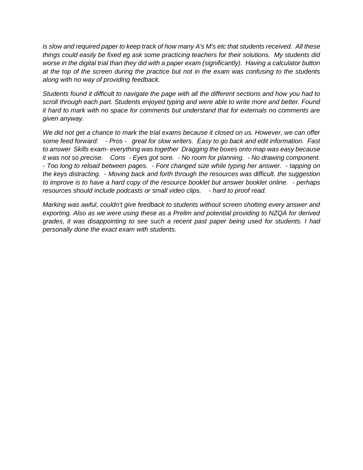*is slow and required paper to keep track of how many A's M's etc that students received. All these things could easily be fixed eg ask some practicing teachers for their solutions. My students did worse in the digital trial than they did with a paper exam (significantly). Having a calculator button at the top of the screen during the practice but not in the exam was confusing to the students along with no way of providing feedback.*

*Students found it difficult to navigate the page with all the different sections and how you had to scroll through each part. Students enjoyed typing and were able to write more and better. Found it hard to mark with no space for comments but understand that for externals no comments are given anyway.*

*We did not get a chance to mark the trial exams because it closed on us. However, we can offer some feed forward: - Pros - great for slow writers. Easy to go back and edit information. Fast to answer Skills exam- everything was together Dragging the boxes onto map was easy because it was not so precise. Cons - Eyes got sore. - No room for planning. - No drawing component. - Too long to reload between pages. - Font changed size while typing her answer. - tapping on the keys distracting. - Moving back and forth through the resources was difficult. the suggestion to improve is to have a hard copy of the resource booklet but answer booklet online. - perhaps resources should include podcasts or small video clips. - hard to proof read.* 

*Marking was awful, couldn't give feedback to students without screen shotting every answer and exporting. Also as we were using these as a Prelim and potential providing to NZQA for derived grades, it was disappointing to see such a recent past paper being used for students. I had personally done the exact exam with students.*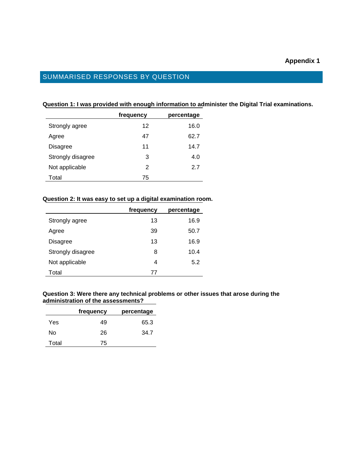## SUMMARISED RESPONSES BY QUESTION

#### **Question 1: I was provided with enough information to administer the Digital Trial examinations.**

|                   | frequency | percentage |
|-------------------|-----------|------------|
| Strongly agree    | 12        | 16.0       |
| Agree             | 47        | 62.7       |
| Disagree          | 11        | 14.7       |
| Strongly disagree | 3         | 4.0        |
| Not applicable    | 2         | 2.7        |
| Total             | 75        |            |

#### **Question 2: It was easy to set up a digital examination room.**

|                   | frequency | percentage |
|-------------------|-----------|------------|
| Strongly agree    | 13        | 16.9       |
| Agree             | 39        | 50.7       |
| Disagree          | 13        | 16.9       |
| Strongly disagree | 8         | 10.4       |
| Not applicable    | 4         | 5.2        |
| Total             | 77        |            |

## **Question 3: Were there any technical problems or other issues that arose during the administration of the assessments?**

|       | frequency | percentage |
|-------|-----------|------------|
| Yes   | 49        | 65.3       |
| N٥    | 26        | 34.7       |
| Total | 75        |            |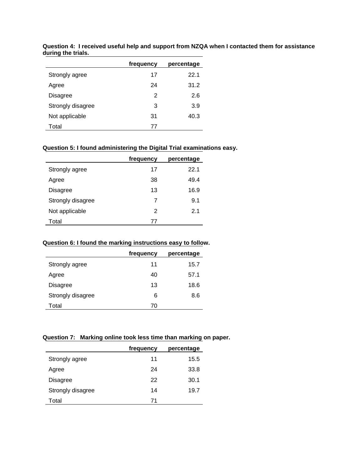|                   | frequency | percentage |
|-------------------|-----------|------------|
| Strongly agree    | 17        | 22.1       |
| Agree             | 24        | 31.2       |
| <b>Disagree</b>   | 2         | 2.6        |
| Strongly disagree | 3         | 3.9        |
| Not applicable    | 31        | 40.3       |
| Total             | 77        |            |

**Question 4: I received useful help and support from NZQA when I contacted them for assistance during the trials.**

## **Question 5: I found administering the Digital Trial examinations easy.**

|                   | frequency | percentage |
|-------------------|-----------|------------|
| Strongly agree    | 17        | 22.1       |
| Agree             | 38        | 49.4       |
| Disagree          | 13        | 16.9       |
| Strongly disagree | 7         | 9.1        |
| Not applicable    | 2         | 2.1        |
| Total             | 77        |            |

## **Question 6: I found the marking instructions easy to follow.**

|                   | frequency | percentage |
|-------------------|-----------|------------|
| Strongly agree    | 11        | 15.7       |
| Agree             | 40        | 57.1       |
| Disagree          | 13        | 18.6       |
| Strongly disagree | 6         | 8.6        |
| Total             | 70        |            |

## **Question 7: Marking online took less time than marking on paper.**

|                   | frequency | percentage |
|-------------------|-----------|------------|
| Strongly agree    | 11        | 15.5       |
| Agree             | 24        | 33.8       |
| Disagree          | 22        | 30.1       |
| Strongly disagree | 14        | 19.7       |
| Total             | 71        |            |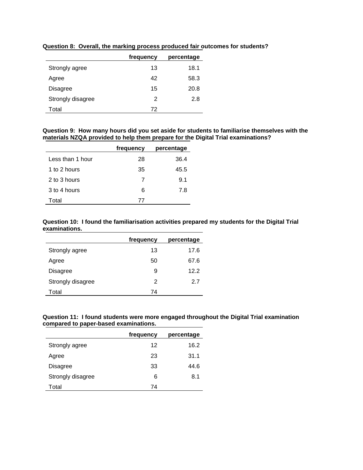|                   | frequency | percentage |
|-------------------|-----------|------------|
| Strongly agree    | 13        | 18.1       |
| Agree             | 42        | 58.3       |
| <b>Disagree</b>   | 15        | 20.8       |
| Strongly disagree | 2         | 2.8        |
| Total             | 72        |            |

**Question 8: Overall, the marking process produced fair outcomes for students?**

#### **Question 9: How many hours did you set aside for students to familiarise themselves with the materials NZQA provided to help them prepare for the Digital Trial examinations?**

|                  | frequency | percentage |
|------------------|-----------|------------|
| Less than 1 hour | 28        | 36.4       |
| 1 to 2 hours     | 35        | 45.5       |
| 2 to 3 hours     | 7         | 9.1        |
| 3 to 4 hours     | 6         | 7.8        |
| Total            | 77        |            |

## **Question 10: I found the familiarisation activities prepared my students for the Digital Trial examinations.**

|                   | frequency | percentage |
|-------------------|-----------|------------|
| Strongly agree    | 13        | 17.6       |
| Agree             | 50        | 67.6       |
| Disagree          | 9         | 12.2       |
| Strongly disagree | 2         | 27         |
| Total             | 74        |            |

#### **Question 11: I found students were more engaged throughout the Digital Trial examination compared to paper-based examinations.**

|                   | frequency | percentage |
|-------------------|-----------|------------|
| Strongly agree    | 12        | 16.2       |
| Agree             | 23        | 31.1       |
| <b>Disagree</b>   | 33        | 44.6       |
| Strongly disagree | 6         | 8.1        |
| Total             | 74        |            |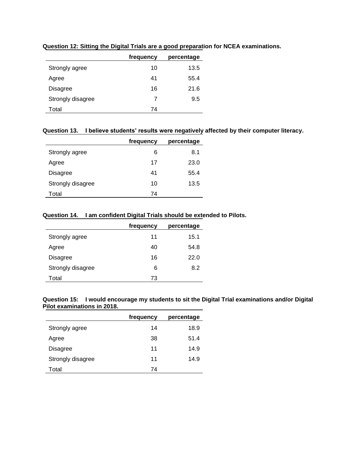|                   | frequency | percentage |
|-------------------|-----------|------------|
| Strongly agree    | 10        | 13.5       |
| Agree             | 41        | 55.4       |
| <b>Disagree</b>   | 16        | 21.6       |
| Strongly disagree | 7         | 9.5        |
| Total             | 74        |            |

**Question 12: Sitting the Digital Trials are a good preparation for NCEA examinations.**

## **Question 13. I believe students' results were negatively affected by their computer literacy.**

|                   | frequency | percentage |
|-------------------|-----------|------------|
| Strongly agree    | 6         | 8.1        |
| Agree             | 17        | 23.0       |
| Disagree          | 41        | 55.4       |
| Strongly disagree | 10        | 13.5       |
| Total             | 74        |            |

## **Question 14. I am confident Digital Trials should be extended to Pilots.**

|                   | frequency | percentage |
|-------------------|-----------|------------|
| Strongly agree    | 11        | 15.1       |
| Agree             | 40        | 54.8       |
| Disagree          | 16        | 22.0       |
| Strongly disagree | 6         | 8.2        |
| Total             | 73        |            |

|                             | Question 15: I would encourage my students to sit the Digital Trial examinations and/or Digital |  |
|-----------------------------|-------------------------------------------------------------------------------------------------|--|
| Pilot examinations in 2018. |                                                                                                 |  |

|                   | frequency | percentage |
|-------------------|-----------|------------|
| Strongly agree    | 14        | 18.9       |
| Agree             | 38        | 51.4       |
| Disagree          | 11        | 14.9       |
| Strongly disagree | 11        | 14.9       |
| Total             | 74        |            |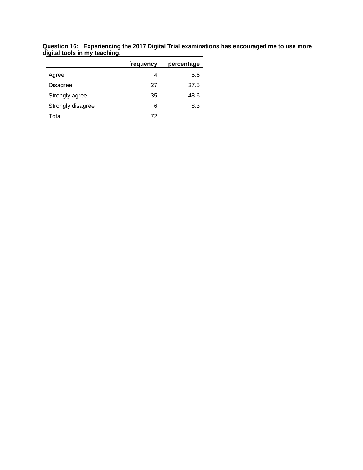|                   | frequency | percentage |
|-------------------|-----------|------------|
| Agree             | 4         | 5.6        |
| Disagree          | 27        | 37.5       |
| Strongly agree    | 35        | 48.6       |
| Strongly disagree | 6         | 8.3        |
| Total             | 72        |            |

**Question 16: Experiencing the 2017 Digital Trial examinations has encouraged me to use more digital tools in my teaching.**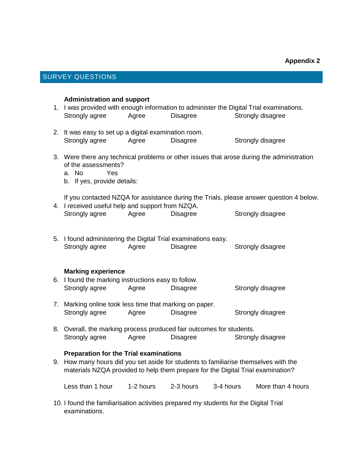## SURVEY QUESTIONS

#### **Administration and support**

- 1. I was provided with enough information to administer the Digital Trial examinations. Strongly agree Agree Disagree Strongly disagree
- 2. It was easy to set up a digital examination room. Strongly agree Agree Disagree Strongly disagree
- 3. Were there any technical problems or other issues that arose during the administration of the assessments?
	- a. No Yes
	- b. If yes, provide details:

If you contacted NZQA for assistance during the Trials, please answer question 4 below.

| 4. I received useful help and support from NZQA. |       |          |                   |
|--------------------------------------------------|-------|----------|-------------------|
| Strongly agree                                   | Agree | Disagree | Strongly disagree |

5. I found administering the Digital Trial examinations easy. Strongly agree Agree Disagree Strongly disagree

## **Marking experience**

- 6. I found the marking instructions easy to follow. Strongly agree Agree Disagree Strongly disagree
- 7. Marking online took less time that marking on paper. Strongly agree Agree Disagree Strongly disagree
- 8. Overall, the marking process produced fair outcomes for students. Strongly agree Agree Disagree Strongly disagree

## **Preparation for the Trial examinations**

9. How many hours did you set aside for students to familiarise themselves with the materials NZQA provided to help them prepare for the Digital Trial examination?

Less than 1 hour 1-2 hours 2-3 hours 3-4 hours More than 4 hours

10. I found the familiarisation activities prepared my students for the Digital Trial examinations.